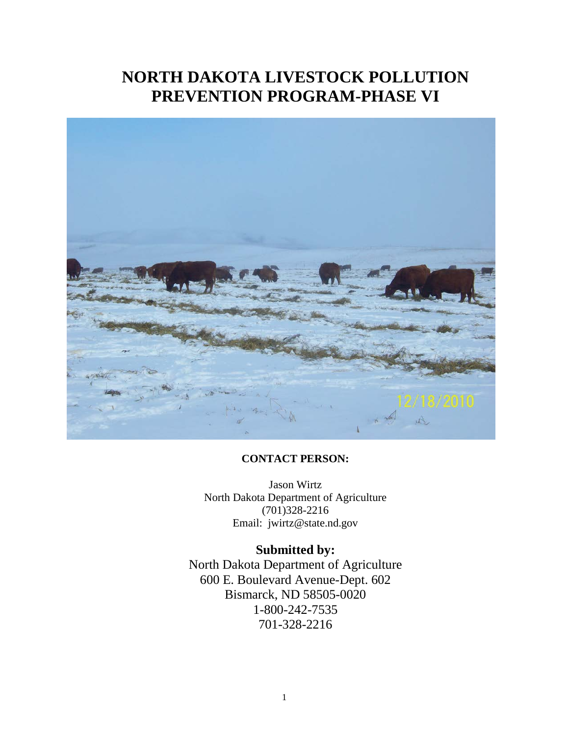## **NORTH DAKOTA LIVESTOCK POLLUTION PREVENTION PROGRAM-PHASE VI**



#### **CONTACT PERSON:**

Jason Wirtz North Dakota Department of Agriculture (701)328-2216 Email: jwirtz@state.nd.gov

### **Submitted by:**

North Dakota Department of Agriculture 600 E. Boulevard Avenue-Dept. 602 Bismarck, ND 58505-0020 1-800-242-7535 701-328-2216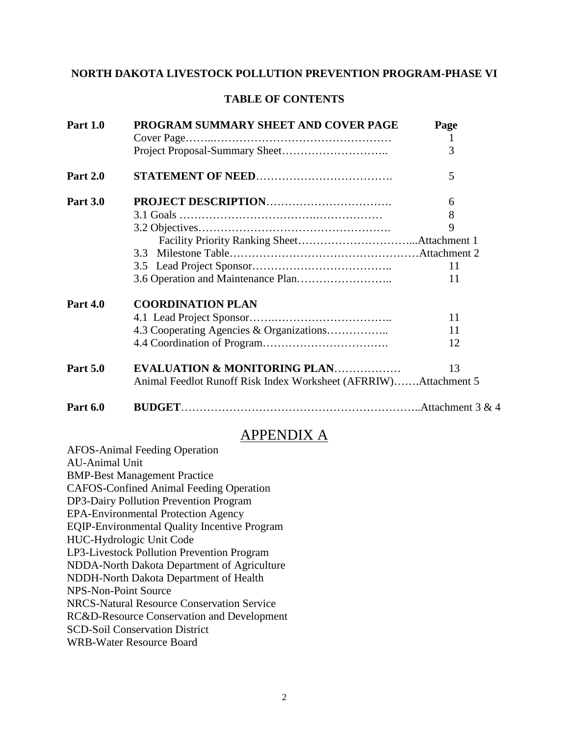## **NORTH DAKOTA LIVESTOCK POLLUTION PREVENTION PROGRAM-PHASE VI**

#### **TABLE OF CONTENTS**

| <b>Part 1.0</b> | PROGRAM SUMMARY SHEET AND COVER PAGE                            | Page         |
|-----------------|-----------------------------------------------------------------|--------------|
|                 |                                                                 | $\mathbf{1}$ |
|                 |                                                                 | 3            |
| <b>Part 2.0</b> |                                                                 | 5            |
| <b>Part 3.0</b> |                                                                 | 6            |
|                 |                                                                 | 8            |
|                 |                                                                 | 9            |
|                 |                                                                 |              |
|                 |                                                                 |              |
|                 |                                                                 | 11           |
|                 |                                                                 | 11           |
| <b>Part 4.0</b> | <b>COORDINATION PLAN</b>                                        |              |
|                 |                                                                 | 11           |
|                 |                                                                 | 11           |
|                 |                                                                 | 12           |
| <b>Part 5.0</b> | <b>EVALUATION &amp; MONITORING PLAN</b>                         | 13           |
|                 | Animal Feedlot Runoff Risk Index Worksheet (AFRRIW)Attachment 5 |              |
| <b>Part 6.0</b> |                                                                 |              |

## APPENDIX A

| <b>AFOS-Animal Feeding Operation</b>                |
|-----------------------------------------------------|
| <b>AU-Animal Unit</b>                               |
| <b>BMP-Best Management Practice</b>                 |
| <b>CAFOS-Confined Animal Feeding Operation</b>      |
| DP3-Dairy Pollution Prevention Program              |
| <b>EPA-Environmental Protection Agency</b>          |
| <b>EQIP-Environmental Quality Incentive Program</b> |
| HUC-Hydrologic Unit Code                            |
| LP3-Livestock Pollution Prevention Program          |
| NDDA-North Dakota Department of Agriculture         |
| NDDH-North Dakota Department of Health              |
| <b>NPS-Non-Point Source</b>                         |
| <b>NRCS-Natural Resource Conservation Service</b>   |
| RC&D-Resource Conservation and Development          |
| <b>SCD-Soil Conservation District</b>               |
| <b>WRB-Water Resource Board</b>                     |
|                                                     |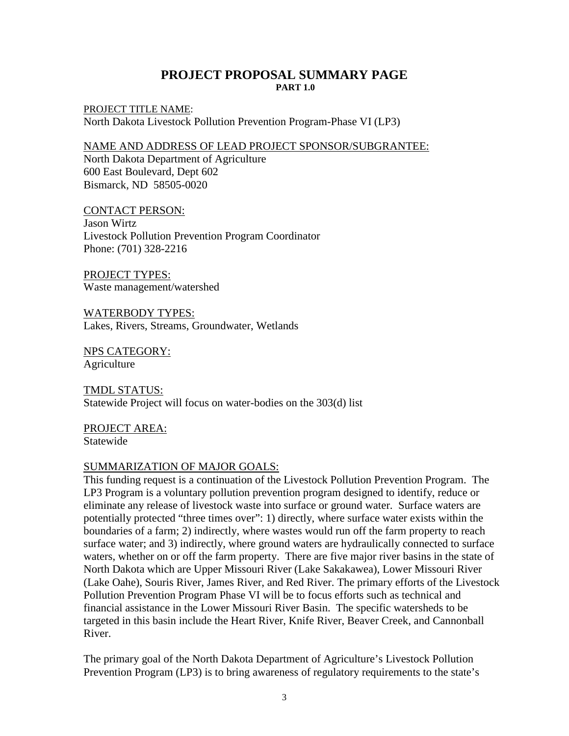#### **PROJECT PROPOSAL SUMMARY PAGE PART 1.0**

PROJECT TITLE NAME: North Dakota Livestock Pollution Prevention Program-Phase VI (LP3)

#### NAME AND ADDRESS OF LEAD PROJECT SPONSOR/SUBGRANTEE:

North Dakota Department of Agriculture 600 East Boulevard, Dept 602 Bismarck, ND 58505-0020

CONTACT PERSON:

Jason Wirtz Livestock Pollution Prevention Program Coordinator Phone: (701) 328-2216

PROJECT TYPES: Waste management/watershed

WATERBODY TYPES: Lakes, Rivers, Streams, Groundwater, Wetlands

NPS CATEGORY: **Agriculture** 

TMDL STATUS: Statewide Project will focus on water-bodies on the 303(d) list

PROJECT AREA: Statewide

#### SUMMARIZATION OF MAJOR GOALS:

This funding request is a continuation of the Livestock Pollution Prevention Program. The LP3 Program is a voluntary pollution prevention program designed to identify, reduce or eliminate any release of livestock waste into surface or ground water. Surface waters are potentially protected "three times over": 1) directly, where surface water exists within the boundaries of a farm; 2) indirectly, where wastes would run off the farm property to reach surface water; and 3) indirectly, where ground waters are hydraulically connected to surface waters, whether on or off the farm property. There are five major river basins in the state of North Dakota which are Upper Missouri River (Lake Sakakawea), Lower Missouri River (Lake Oahe), Souris River, James River, and Red River. The primary efforts of the Livestock Pollution Prevention Program Phase VI will be to focus efforts such as technical and financial assistance in the Lower Missouri River Basin. The specific watersheds to be targeted in this basin include the Heart River, Knife River, Beaver Creek, and Cannonball River.

The primary goal of the North Dakota Department of Agriculture's Livestock Pollution Prevention Program (LP3) is to bring awareness of regulatory requirements to the state's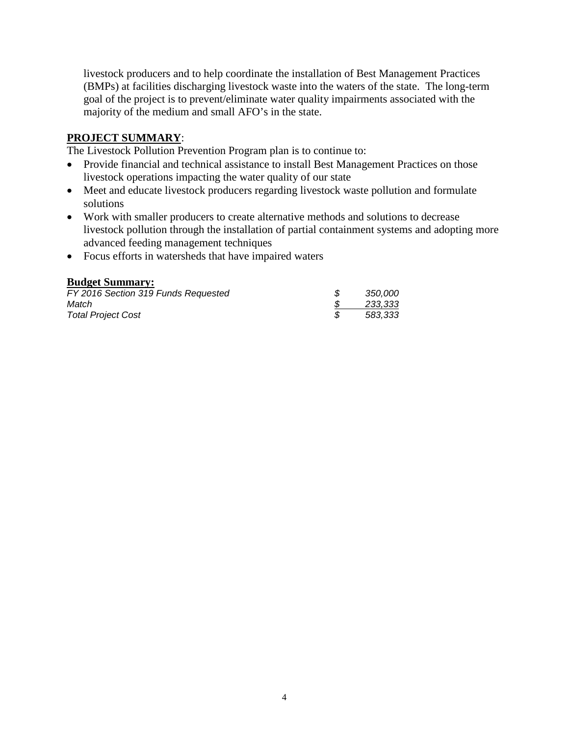livestock producers and to help coordinate the installation of Best Management Practices (BMPs) at facilities discharging livestock waste into the waters of the state. The long-term goal of the project is to prevent/eliminate water quality impairments associated with the majority of the medium and small AFO's in the state.

#### **PROJECT SUMMARY**:

The Livestock Pollution Prevention Program plan is to continue to:

- Provide financial and technical assistance to install Best Management Practices on those livestock operations impacting the water quality of our state
- Meet and educate livestock producers regarding livestock waste pollution and formulate solutions
- Work with smaller producers to create alternative methods and solutions to decrease livestock pollution through the installation of partial containment systems and adopting more advanced feeding management techniques
- Focus efforts in watersheds that have impaired waters

#### **Budget Summary:**

| FY 2016 Section 319 Funds Requested | 350.000 |
|-------------------------------------|---------|
| Match                               | 233,333 |
| <b>Total Project Cost</b>           | 583,333 |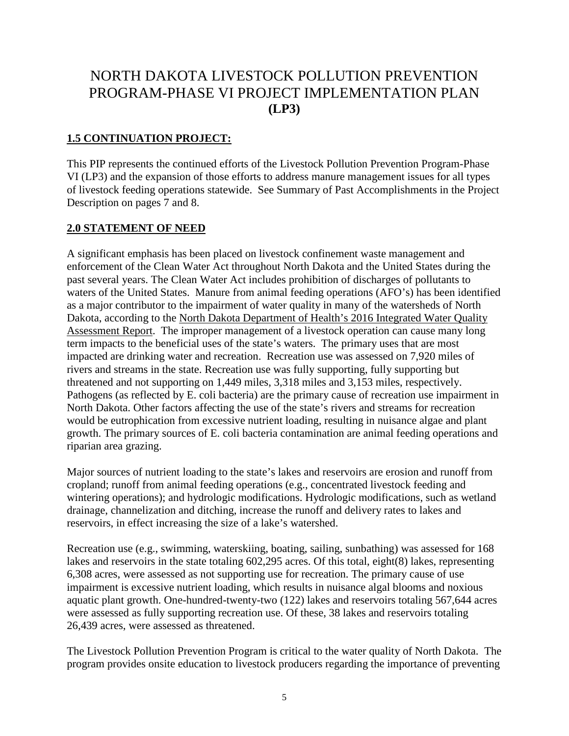## NORTH DAKOTA LIVESTOCK POLLUTION PREVENTION PROGRAM-PHASE VI PROJECT IMPLEMENTATION PLAN **(LP3)**

#### **1.5 CONTINUATION PROJECT:**

This PIP represents the continued efforts of the Livestock Pollution Prevention Program-Phase VI (LP3) and the expansion of those efforts to address manure management issues for all types of livestock feeding operations statewide. See Summary of Past Accomplishments in the Project Description on pages 7 and 8.

#### **2.0 STATEMENT OF NEED**

A significant emphasis has been placed on livestock confinement waste management and enforcement of the Clean Water Act throughout North Dakota and the United States during the past several years. The Clean Water Act includes prohibition of discharges of pollutants to waters of the United States. Manure from animal feeding operations (AFO's) has been identified as a major contributor to the impairment of water quality in many of the watersheds of North Dakota, according to the North Dakota Department of Health's 2016 Integrated Water Quality Assessment Report. The improper management of a livestock operation can cause many long term impacts to the beneficial uses of the state's waters. The primary uses that are most impacted are drinking water and recreation. Recreation use was assessed on 7,920 miles of rivers and streams in the state. Recreation use was fully supporting, fully supporting but threatened and not supporting on 1,449 miles, 3,318 miles and 3,153 miles, respectively. Pathogens (as reflected by E. coli bacteria) are the primary cause of recreation use impairment in North Dakota. Other factors affecting the use of the state's rivers and streams for recreation would be eutrophication from excessive nutrient loading, resulting in nuisance algae and plant growth. The primary sources of E. coli bacteria contamination are animal feeding operations and riparian area grazing.

Major sources of nutrient loading to the state's lakes and reservoirs are erosion and runoff from cropland; runoff from animal feeding operations (e.g., concentrated livestock feeding and wintering operations); and hydrologic modifications. Hydrologic modifications, such as wetland drainage, channelization and ditching, increase the runoff and delivery rates to lakes and reservoirs, in effect increasing the size of a lake's watershed.

Recreation use (e.g., swimming, waterskiing, boating, sailing, sunbathing) was assessed for 168 lakes and reservoirs in the state totaling 602,295 acres. Of this total, eight(8) lakes, representing 6,308 acres, were assessed as not supporting use for recreation. The primary cause of use impairment is excessive nutrient loading, which results in nuisance algal blooms and noxious aquatic plant growth. One-hundred-twenty-two (122) lakes and reservoirs totaling 567,644 acres were assessed as fully supporting recreation use. Of these, 38 lakes and reservoirs totaling 26,439 acres, were assessed as threatened.

The Livestock Pollution Prevention Program is critical to the water quality of North Dakota. The program provides onsite education to livestock producers regarding the importance of preventing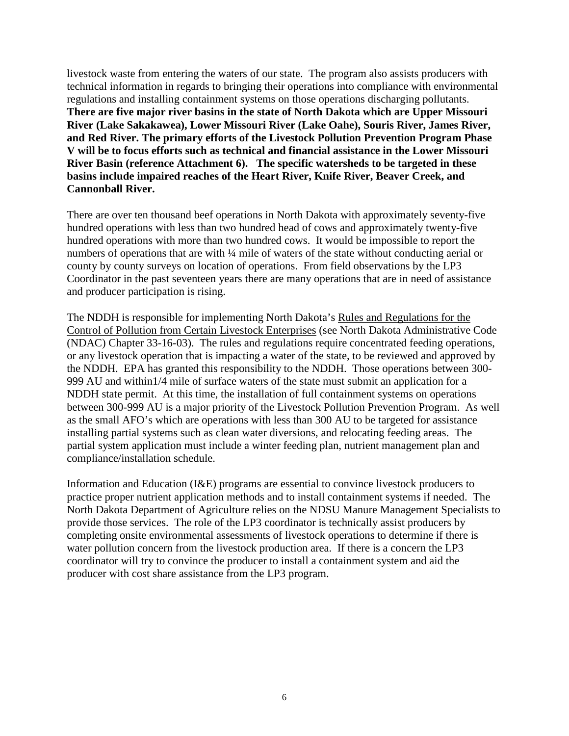livestock waste from entering the waters of our state. The program also assists producers with technical information in regards to bringing their operations into compliance with environmental regulations and installing containment systems on those operations discharging pollutants. **There are five major river basins in the state of North Dakota which are Upper Missouri River (Lake Sakakawea), Lower Missouri River (Lake Oahe), Souris River, James River, and Red River. The primary efforts of the Livestock Pollution Prevention Program Phase V will be to focus efforts such as technical and financial assistance in the Lower Missouri River Basin (reference Attachment 6). The specific watersheds to be targeted in these basins include impaired reaches of the Heart River, Knife River, Beaver Creek, and Cannonball River.**

There are over ten thousand beef operations in North Dakota with approximately seventy-five hundred operations with less than two hundred head of cows and approximately twenty-five hundred operations with more than two hundred cows. It would be impossible to report the numbers of operations that are with <sup>1</sup>/4 mile of waters of the state without conducting aerial or county by county surveys on location of operations. From field observations by the LP3 Coordinator in the past seventeen years there are many operations that are in need of assistance and producer participation is rising.

The NDDH is responsible for implementing North Dakota's Rules and Regulations for the Control of Pollution from Certain Livestock Enterprises (see North Dakota Administrative Code (NDAC) Chapter 33-16-03). The rules and regulations require concentrated feeding operations, or any livestock operation that is impacting a water of the state, to be reviewed and approved by the NDDH. EPA has granted this responsibility to the NDDH. Those operations between 300- 999 AU and within1/4 mile of surface waters of the state must submit an application for a NDDH state permit. At this time, the installation of full containment systems on operations between 300-999 AU is a major priority of the Livestock Pollution Prevention Program. As well as the small AFO's which are operations with less than 300 AU to be targeted for assistance installing partial systems such as clean water diversions, and relocating feeding areas. The partial system application must include a winter feeding plan, nutrient management plan and compliance/installation schedule.

Information and Education (I&E) programs are essential to convince livestock producers to practice proper nutrient application methods and to install containment systems if needed. The North Dakota Department of Agriculture relies on the NDSU Manure Management Specialists to provide those services. The role of the LP3 coordinator is technically assist producers by completing onsite environmental assessments of livestock operations to determine if there is water pollution concern from the livestock production area. If there is a concern the LP3 coordinator will try to convince the producer to install a containment system and aid the producer with cost share assistance from the LP3 program.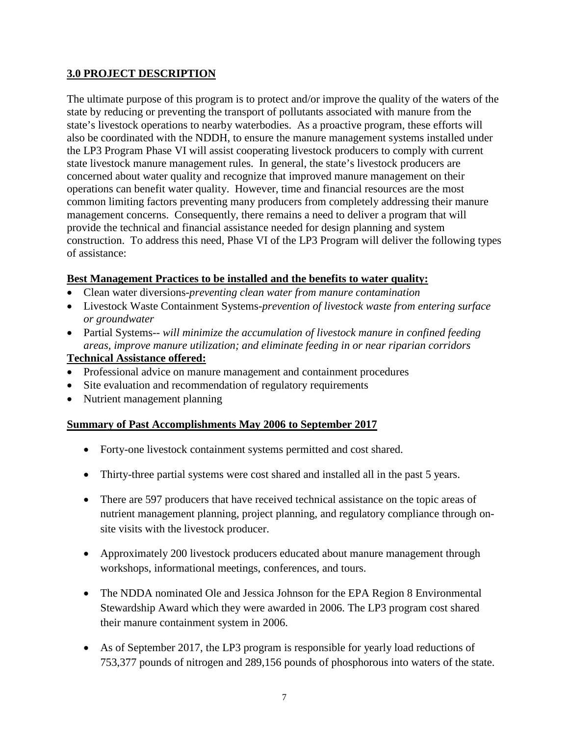#### **3.0 PROJECT DESCRIPTION**

The ultimate purpose of this program is to protect and/or improve the quality of the waters of the state by reducing or preventing the transport of pollutants associated with manure from the state's livestock operations to nearby waterbodies. As a proactive program, these efforts will also be coordinated with the NDDH, to ensure the manure management systems installed under the LP3 Program Phase VI will assist cooperating livestock producers to comply with current state livestock manure management rules. In general, the state's livestock producers are concerned about water quality and recognize that improved manure management on their operations can benefit water quality. However, time and financial resources are the most common limiting factors preventing many producers from completely addressing their manure management concerns. Consequently, there remains a need to deliver a program that will provide the technical and financial assistance needed for design planning and system construction. To address this need, Phase VI of the LP3 Program will deliver the following types of assistance:

#### **Best Management Practices to be installed and the benefits to water quality:**

- Clean water diversions*-preventing clean water from manure contamination*
- Livestock Waste Containment Systems-*prevention of livestock waste from entering surface or groundwater*
- Partial Systems-- *will minimize the accumulation of livestock manure in confined feeding areas, improve manure utilization; and eliminate feeding in or near riparian corridors*

#### **Technical Assistance offered:**

- Professional advice on manure management and containment procedures
- Site evaluation and recommendation of regulatory requirements
- Nutrient management planning

#### **Summary of Past Accomplishments May 2006 to September 2017**

- Forty-one livestock containment systems permitted and cost shared.
- Thirty-three partial systems were cost shared and installed all in the past 5 years.
- There are 597 producers that have received technical assistance on the topic areas of nutrient management planning, project planning, and regulatory compliance through onsite visits with the livestock producer.
- Approximately 200 livestock producers educated about manure management through workshops, informational meetings, conferences, and tours.
- The NDDA nominated Ole and Jessica Johnson for the EPA Region 8 Environmental Stewardship Award which they were awarded in 2006. The LP3 program cost shared their manure containment system in 2006.
- As of September 2017, the LP3 program is responsible for yearly load reductions of 753,377 pounds of nitrogen and 289,156 pounds of phosphorous into waters of the state.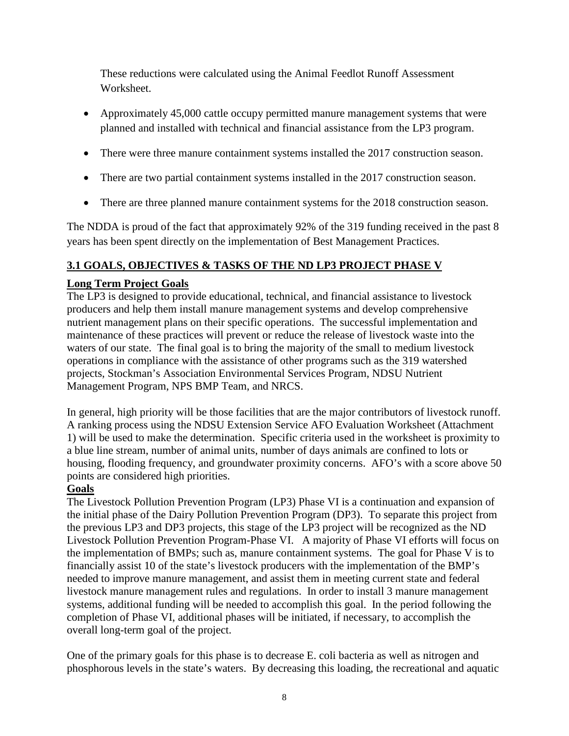These reductions were calculated using the Animal Feedlot Runoff Assessment Worksheet.

- Approximately 45,000 cattle occupy permitted manure management systems that were planned and installed with technical and financial assistance from the LP3 program.
- There were three manure containment systems installed the 2017 construction season.
- There are two partial containment systems installed in the 2017 construction season.
- There are three planned manure containment systems for the 2018 construction season.

The NDDA is proud of the fact that approximately 92% of the 319 funding received in the past 8 years has been spent directly on the implementation of Best Management Practices.

#### **3.1 GOALS, OBJECTIVES & TASKS OF THE ND LP3 PROJECT PHASE V**

#### **Long Term Project Goals**

The LP3 is designed to provide educational, technical, and financial assistance to livestock producers and help them install manure management systems and develop comprehensive nutrient management plans on their specific operations. The successful implementation and maintenance of these practices will prevent or reduce the release of livestock waste into the waters of our state. The final goal is to bring the majority of the small to medium livestock operations in compliance with the assistance of other programs such as the 319 watershed projects, Stockman's Association Environmental Services Program, NDSU Nutrient Management Program, NPS BMP Team, and NRCS.

In general, high priority will be those facilities that are the major contributors of livestock runoff. A ranking process using the NDSU Extension Service AFO Evaluation Worksheet (Attachment 1) will be used to make the determination. Specific criteria used in the worksheet is proximity to a blue line stream, number of animal units, number of days animals are confined to lots or housing, flooding frequency, and groundwater proximity concerns. AFO's with a score above 50 points are considered high priorities.

#### **Goals**

The Livestock Pollution Prevention Program (LP3) Phase VI is a continuation and expansion of the initial phase of the Dairy Pollution Prevention Program (DP3). To separate this project from the previous LP3 and DP3 projects, this stage of the LP3 project will be recognized as the ND Livestock Pollution Prevention Program-Phase VI. A majority of Phase VI efforts will focus on the implementation of BMPs; such as, manure containment systems. The goal for Phase V is to financially assist 10 of the state's livestock producers with the implementation of the BMP's needed to improve manure management, and assist them in meeting current state and federal livestock manure management rules and regulations. In order to install 3 manure management systems, additional funding will be needed to accomplish this goal. In the period following the completion of Phase VI, additional phases will be initiated, if necessary, to accomplish the overall long-term goal of the project.

One of the primary goals for this phase is to decrease E. coli bacteria as well as nitrogen and phosphorous levels in the state's waters. By decreasing this loading, the recreational and aquatic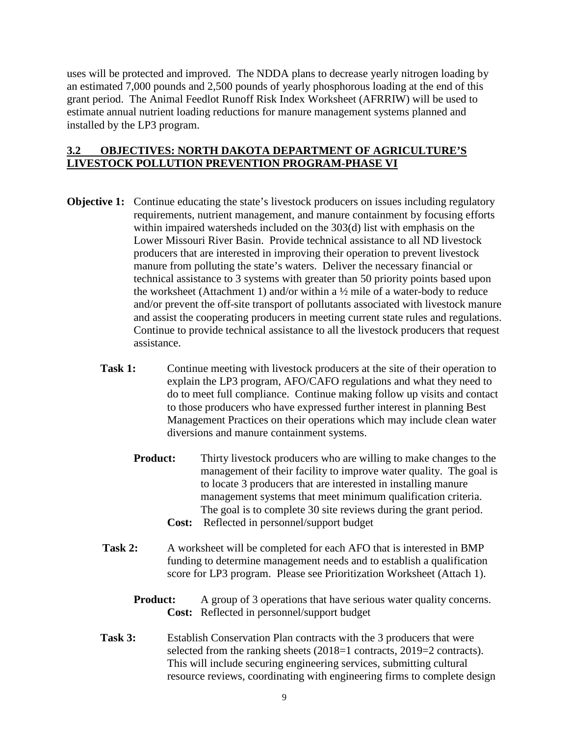uses will be protected and improved. The NDDA plans to decrease yearly nitrogen loading by an estimated 7,000 pounds and 2,500 pounds of yearly phosphorous loading at the end of this grant period. The Animal Feedlot Runoff Risk Index Worksheet (AFRRIW) will be used to estimate annual nutrient loading reductions for manure management systems planned and installed by the LP3 program.

#### **3.2 OBJECTIVES: NORTH DAKOTA DEPARTMENT OF AGRICULTURE'S LIVESTOCK POLLUTION PREVENTION PROGRAM-PHASE VI**

- **Objective 1:** Continue educating the state's livestock producers on issues including regulatory requirements, nutrient management, and manure containment by focusing efforts within impaired watersheds included on the 303(d) list with emphasis on the Lower Missouri River Basin. Provide technical assistance to all ND livestock producers that are interested in improving their operation to prevent livestock manure from polluting the state's waters. Deliver the necessary financial or technical assistance to 3 systems with greater than 50 priority points based upon the worksheet (Attachment 1) and/or within a ½ mile of a water-body to reduce and/or prevent the off-site transport of pollutants associated with livestock manure and assist the cooperating producers in meeting current state rules and regulations. Continue to provide technical assistance to all the livestock producers that request assistance.
	- **Task 1:** Continue meeting with livestock producers at the site of their operation to explain the LP3 program, AFO/CAFO regulations and what they need to do to meet full compliance. Continue making follow up visits and contact to those producers who have expressed further interest in planning Best Management Practices on their operations which may include clean water diversions and manure containment systems.
		- **Product:** Thirty livestock producers who are willing to make changes to the management of their facility to improve water quality. The goal is to locate 3 producers that are interested in installing manure management systems that meet minimum qualification criteria. The goal is to complete 30 site reviews during the grant period. **Cost:** Reflected in personnel/support budget
			-
	- Task 2: A worksheet will be completed for each AFO that is interested in BMP funding to determine management needs and to establish a qualification score for LP3 program. Please see Prioritization Worksheet (Attach 1).
		- **Product:** A group of 3 operations that have serious water quality concerns. **Cost:** Reflected in personnel/support budget
	- **Task 3:** Establish Conservation Plan contracts with the 3 producers that were selected from the ranking sheets (2018=1 contracts, 2019=2 contracts). This will include securing engineering services, submitting cultural resource reviews, coordinating with engineering firms to complete design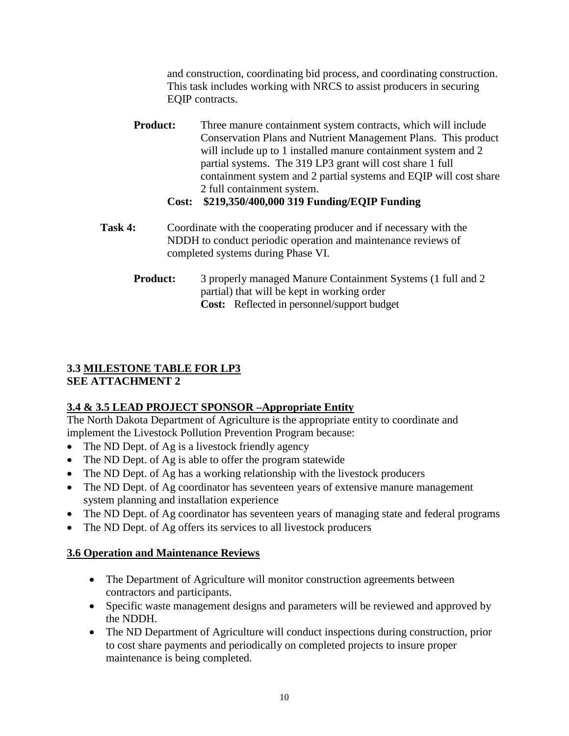and construction, coordinating bid process, and coordinating construction. This task includes working with NRCS to assist producers in securing EQIP contracts.

**Product:** Three manure containment system contracts, which will include Conservation Plans and Nutrient Management Plans. This product will include up to 1 installed manure containment system and 2 partial systems. The 319 LP3 grant will cost share 1 full containment system and 2 partial systems and EQIP will cost share 2 full containment system.

#### **Cost: \$219,350/400,000 319 Funding/EQIP Funding**

- **Task 4:** Coordinate with the cooperating producer and if necessary with the NDDH to conduct periodic operation and maintenance reviews of completed systems during Phase VI.
	- **Product:** 3 properly managed Manure Containment Systems (1 full and 2) partial) that will be kept in working order **Cost:** Reflected in personnel/support budget

#### **3.3 MILESTONE TABLE FOR LP3 SEE ATTACHMENT 2**

### **3.4 & 3.5 LEAD PROJECT SPONSOR –Appropriate Entity**

The North Dakota Department of Agriculture is the appropriate entity to coordinate and implement the Livestock Pollution Prevention Program because:

- The ND Dept. of Ag is a livestock friendly agency
- The ND Dept. of Ag is able to offer the program statewide
- The ND Dept. of Ag has a working relationship with the livestock producers
- The ND Dept. of Ag coordinator has seventeen years of extensive manure management system planning and installation experience
- The ND Dept. of Ag coordinator has seventeen years of managing state and federal programs
- The ND Dept. of Ag offers its services to all livestock producers

### **3.6 Operation and Maintenance Reviews**

- The Department of Agriculture will monitor construction agreements between contractors and participants.
- Specific waste management designs and parameters will be reviewed and approved by the NDDH.
- The ND Department of Agriculture will conduct inspections during construction, prior to cost share payments and periodically on completed projects to insure proper maintenance is being completed.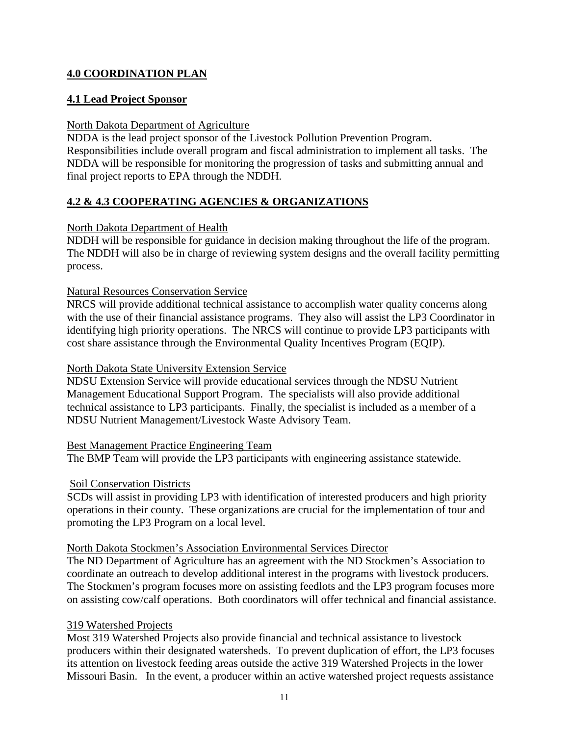#### **4.0 COORDINATION PLAN**

#### **4.1 Lead Project Sponsor**

#### North Dakota Department of Agriculture

NDDA is the lead project sponsor of the Livestock Pollution Prevention Program. Responsibilities include overall program and fiscal administration to implement all tasks. The NDDA will be responsible for monitoring the progression of tasks and submitting annual and final project reports to EPA through the NDDH.

#### **4.2 & 4.3 COOPERATING AGENCIES & ORGANIZATIONS**

#### North Dakota Department of Health

NDDH will be responsible for guidance in decision making throughout the life of the program. The NDDH will also be in charge of reviewing system designs and the overall facility permitting process.

#### Natural Resources Conservation Service

NRCS will provide additional technical assistance to accomplish water quality concerns along with the use of their financial assistance programs. They also will assist the LP3 Coordinator in identifying high priority operations. The NRCS will continue to provide LP3 participants with cost share assistance through the Environmental Quality Incentives Program (EQIP).

#### North Dakota State University Extension Service

NDSU Extension Service will provide educational services through the NDSU Nutrient Management Educational Support Program. The specialists will also provide additional technical assistance to LP3 participants. Finally, the specialist is included as a member of a NDSU Nutrient Management/Livestock Waste Advisory Team.

#### Best Management Practice Engineering Team

The BMP Team will provide the LP3 participants with engineering assistance statewide.

#### Soil Conservation Districts

SCDs will assist in providing LP3 with identification of interested producers and high priority operations in their county. These organizations are crucial for the implementation of tour and promoting the LP3 Program on a local level.

#### North Dakota Stockmen's Association Environmental Services Director

The ND Department of Agriculture has an agreement with the ND Stockmen's Association to coordinate an outreach to develop additional interest in the programs with livestock producers. The Stockmen's program focuses more on assisting feedlots and the LP3 program focuses more on assisting cow/calf operations. Both coordinators will offer technical and financial assistance.

#### 319 Watershed Projects

Most 319 Watershed Projects also provide financial and technical assistance to livestock producers within their designated watersheds. To prevent duplication of effort, the LP3 focuses its attention on livestock feeding areas outside the active 319 Watershed Projects in the lower Missouri Basin. In the event, a producer within an active watershed project requests assistance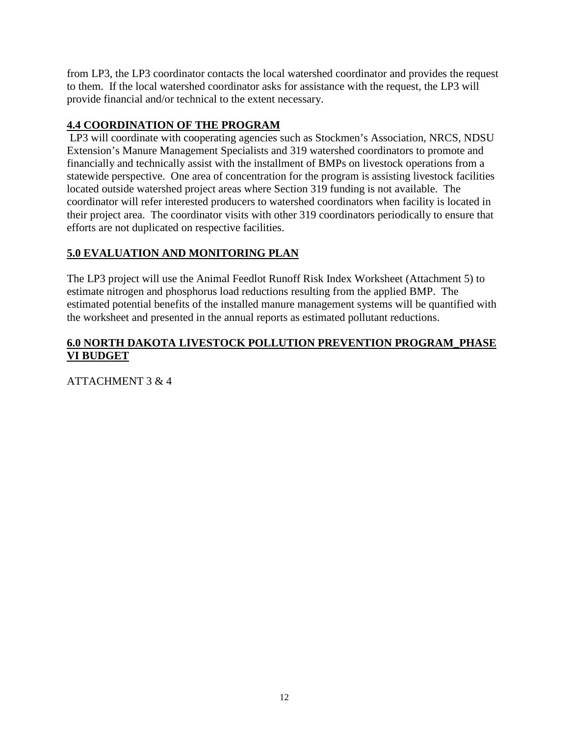from LP3, the LP3 coordinator contacts the local watershed coordinator and provides the request to them. If the local watershed coordinator asks for assistance with the request, the LP3 will provide financial and/or technical to the extent necessary.

### **4.4 COORDINATION OF THE PROGRAM**

LP3 will coordinate with cooperating agencies such as Stockmen's Association, NRCS, NDSU Extension's Manure Management Specialists and 319 watershed coordinators to promote and financially and technically assist with the installment of BMPs on livestock operations from a statewide perspective. One area of concentration for the program is assisting livestock facilities located outside watershed project areas where Section 319 funding is not available. The coordinator will refer interested producers to watershed coordinators when facility is located in their project area. The coordinator visits with other 319 coordinators periodically to ensure that efforts are not duplicated on respective facilities.

### **5.0 EVALUATION AND MONITORING PLAN**

The LP3 project will use the Animal Feedlot Runoff Risk Index Worksheet (Attachment 5) to estimate nitrogen and phosphorus load reductions resulting from the applied BMP. The estimated potential benefits of the installed manure management systems will be quantified with the worksheet and presented in the annual reports as estimated pollutant reductions.

#### **6.0 NORTH DAKOTA LIVESTOCK POLLUTION PREVENTION PROGRAM\_PHASE VI BUDGET**

ATTACHMENT 3 & 4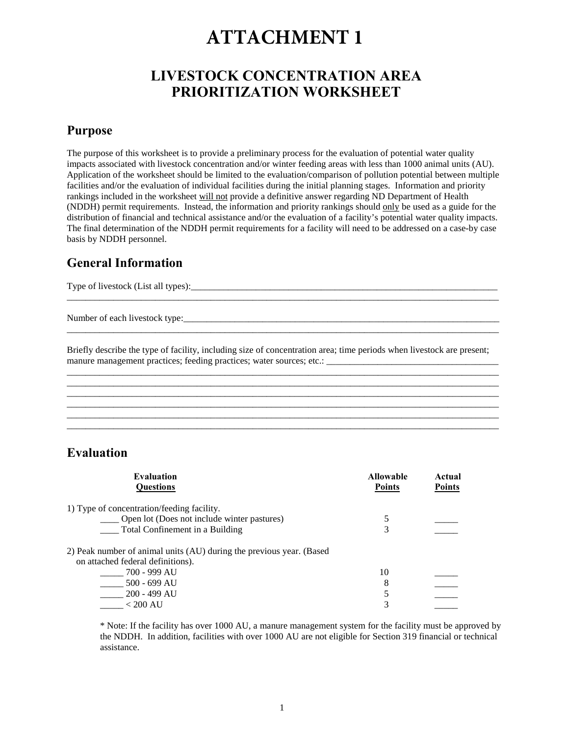## **LIVESTOCK CONCENTRATION AREA PRIORITIZATION WORKSHEET**

#### **Purpose**

The purpose of this worksheet is to provide a preliminary process for the evaluation of potential water quality impacts associated with livestock concentration and/or winter feeding areas with less than 1000 animal units (AU). Application of the worksheet should be limited to the evaluation/comparison of pollution potential between multiple facilities and/or the evaluation of individual facilities during the initial planning stages. Information and priority rankings included in the worksheet will not provide a definitive answer regarding ND Department of Health (NDDH) permit requirements. Instead, the information and priority rankings should only be used as a guide for the distribution of financial and technical assistance and/or the evaluation of a facility's potential water quality impacts. The final determination of the NDDH permit requirements for a facility will need to be addressed on a case-by case basis by NDDH personnel.

## **General Information**

Type of livestock (List all types):\_\_\_\_\_\_\_\_\_\_\_\_\_\_\_\_\_\_\_\_\_\_\_\_\_\_\_\_\_\_\_\_\_\_\_\_\_\_\_\_\_\_\_\_\_\_\_\_\_\_\_\_\_\_\_\_\_\_\_\_\_\_\_\_\_\_

Number of each livestock type:\_\_\_\_\_\_\_\_\_\_\_\_\_\_\_\_\_\_\_\_\_\_\_\_\_\_\_\_\_\_\_\_\_\_\_\_\_\_\_\_\_\_\_\_\_\_\_\_\_\_\_\_\_\_\_\_\_\_\_\_\_\_\_\_\_\_\_\_

Briefly describe the type of facility, including size of concentration area; time periods when livestock are present; manure management practices; feeding practices; water sources; etc.: \_\_\_\_\_\_\_\_\_\_\_\_\_\_\_\_\_\_\_\_\_\_\_\_\_\_\_\_\_\_\_\_\_\_\_\_\_

\_\_\_\_\_\_\_\_\_\_\_\_\_\_\_\_\_\_\_\_\_\_\_\_\_\_\_\_\_\_\_\_\_\_\_\_\_\_\_\_\_\_\_\_\_\_\_\_\_\_\_\_\_\_\_\_\_\_\_\_\_\_\_\_\_\_\_\_\_\_\_\_\_\_\_\_\_\_\_\_\_\_\_\_\_\_\_\_\_\_\_\_\_ \_\_\_\_\_\_\_\_\_\_\_\_\_\_\_\_\_\_\_\_\_\_\_\_\_\_\_\_\_\_\_\_\_\_\_\_\_\_\_\_\_\_\_\_\_\_\_\_\_\_\_\_\_\_\_\_\_\_\_\_\_\_\_\_\_\_\_\_\_\_\_\_\_\_\_\_\_\_\_\_\_\_\_\_\_\_\_\_\_\_\_\_\_

\_\_\_\_\_\_\_\_\_\_\_\_\_\_\_\_\_\_\_\_\_\_\_\_\_\_\_\_\_\_\_\_\_\_\_\_\_\_\_\_\_\_\_\_\_\_\_\_\_\_\_\_\_\_\_\_\_\_\_\_\_\_\_\_\_\_\_\_\_\_\_\_\_\_\_\_\_\_\_\_\_\_\_\_\_\_\_\_\_\_\_\_\_

\_\_\_\_\_\_\_\_\_\_\_\_\_\_\_\_\_\_\_\_\_\_\_\_\_\_\_\_\_\_\_\_\_\_\_\_\_\_\_\_\_\_\_\_\_\_\_\_\_\_\_\_\_\_\_\_\_\_\_\_\_\_\_\_\_\_\_\_\_\_\_\_\_\_\_\_\_\_\_\_\_\_\_\_\_\_\_\_\_\_\_\_\_

\_\_\_\_\_\_\_\_\_\_\_\_\_\_\_\_\_\_\_\_\_\_\_\_\_\_\_\_\_\_\_\_\_\_\_\_\_\_\_\_\_\_\_\_\_\_\_\_\_\_\_\_\_\_\_\_\_\_\_\_\_\_\_\_\_\_\_\_\_\_\_\_\_\_\_\_\_\_\_\_\_\_\_\_\_\_\_\_\_\_\_\_\_

\_\_\_\_\_\_\_\_\_\_\_\_\_\_\_\_\_\_\_\_\_\_\_\_\_\_\_\_\_\_\_\_\_\_\_\_\_\_\_\_\_\_\_\_\_\_\_\_\_\_\_\_\_\_\_\_\_\_\_\_\_\_\_\_\_\_\_\_\_\_\_\_\_\_\_\_\_\_\_\_\_\_\_\_\_\_\_\_\_\_\_\_\_

#### **Evaluation**

| <b>Evaluation</b><br><b>Ouestions</b>                                                                     | <b>Allowable</b><br><b>Points</b> | Actual<br><b>Points</b> |
|-----------------------------------------------------------------------------------------------------------|-----------------------------------|-------------------------|
| 1) Type of concentration/feeding facility.<br>Open lot (Does not include winter pastures)                 |                                   |                         |
| Total Confinement in a Building                                                                           |                                   |                         |
| 2) Peak number of animal units (AU) during the previous year. (Based<br>on attached federal definitions). |                                   |                         |
| 700 - 999 AU                                                                                              | 10                                |                         |
| 500 - 699 AU                                                                                              | 8                                 |                         |
| 200 - 499 AU                                                                                              |                                   |                         |
| $< 200 \text{ AU}$                                                                                        |                                   |                         |

\* Note: If the facility has over 1000 AU, a manure management system for the facility must be approved by the NDDH. In addition, facilities with over 1000 AU are not eligible for Section 319 financial or technical assistance.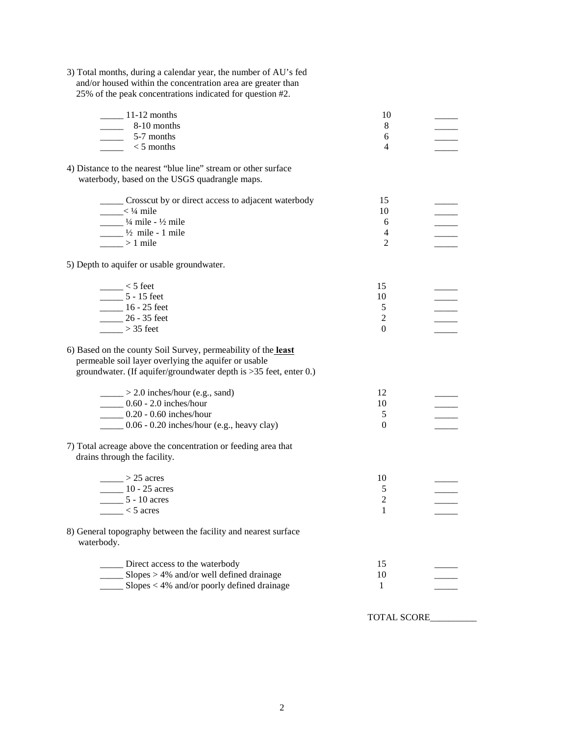| 3) Total months, during a calendar year, the number of AU's fed<br>and/or housed within the concentration area are greater than<br>25% of the peak concentrations indicated for question #2. |                |  |
|----------------------------------------------------------------------------------------------------------------------------------------------------------------------------------------------|----------------|--|
| $\frac{11-12}{2}$ months                                                                                                                                                                     | 10             |  |
| $\frac{8-10}{2}$ months                                                                                                                                                                      | 8              |  |
| $\frac{1}{2}$ 5-7 months                                                                                                                                                                     | 6              |  |
| $\frac{1}{2}$ < 5 months                                                                                                                                                                     | 4              |  |
| 4) Distance to the nearest "blue line" stream or other surface<br>waterbody, based on the USGS quadrangle maps.                                                                              |                |  |
| ______ Crosscut by or direct access to adjacent waterbody                                                                                                                                    | 15             |  |
| $\frac{1}{2}$ < $\frac{1}{4}$ mile                                                                                                                                                           | 10             |  |
| $\frac{1}{4}$ mile - ½ mile<br>$\frac{1}{2}$ mile - 1 mile                                                                                                                                   | 6<br>4         |  |
| $>1$ mile                                                                                                                                                                                    | $\overline{2}$ |  |
|                                                                                                                                                                                              |                |  |
| 5) Depth to aquifer or usable groundwater.                                                                                                                                                   |                |  |
| $\frac{1}{2}$ < 5 feet                                                                                                                                                                       | 15             |  |
| $\frac{1}{2}$ 5 - 15 feet                                                                                                                                                                    | 10             |  |
| $\frac{16 - 25 \text{ feet}}{25 - 16}$                                                                                                                                                       | 5              |  |
| 26 - 35 feet                                                                                                                                                                                 | $\overline{c}$ |  |
| $\frac{1}{2}$ > 35 feet                                                                                                                                                                      | $\theta$       |  |
| 6) Based on the county Soil Survey, permeability of the least<br>permeable soil layer overlying the aquifer or usable<br>groundwater. (If aquifer/groundwater depth is >35 feet, enter 0.)   |                |  |
| $\_\_\_\_\_\_$ > 2.0 inches/hour (e.g., sand)                                                                                                                                                | 12             |  |
| $\frac{1}{2}$ 0.60 - 2.0 inches/hour                                                                                                                                                         | 10             |  |
| $- 0.20 - 0.60$ inches/hour                                                                                                                                                                  | 5              |  |
| $\frac{1}{2}$ 0.06 - 0.20 inches/hour (e.g., heavy clay)                                                                                                                                     | 0              |  |
| 7) Total acreage above the concentration or feeding area that<br>drains through the facility.                                                                                                |                |  |
| $\_\_\_\$ > 25 acres                                                                                                                                                                         | 10             |  |
| $10 - 25$ acres                                                                                                                                                                              | 5              |  |
| 5 - 10 acres                                                                                                                                                                                 | $\overline{2}$ |  |
| $<$ 5 acres                                                                                                                                                                                  | $\mathbf{1}$   |  |
| 8) General topography between the facility and nearest surface<br>waterbody.                                                                                                                 |                |  |
| _____ Direct access to the waterbody                                                                                                                                                         | 15             |  |
| $\frac{1}{2}$ Slopes > 4% and/or well defined drainage                                                                                                                                       | 10             |  |
| $\leq$ Slopes < 4% and/or poorly defined drainage                                                                                                                                            | 1              |  |
|                                                                                                                                                                                              |                |  |

TOTAL SCORE\_\_\_\_\_\_\_\_\_\_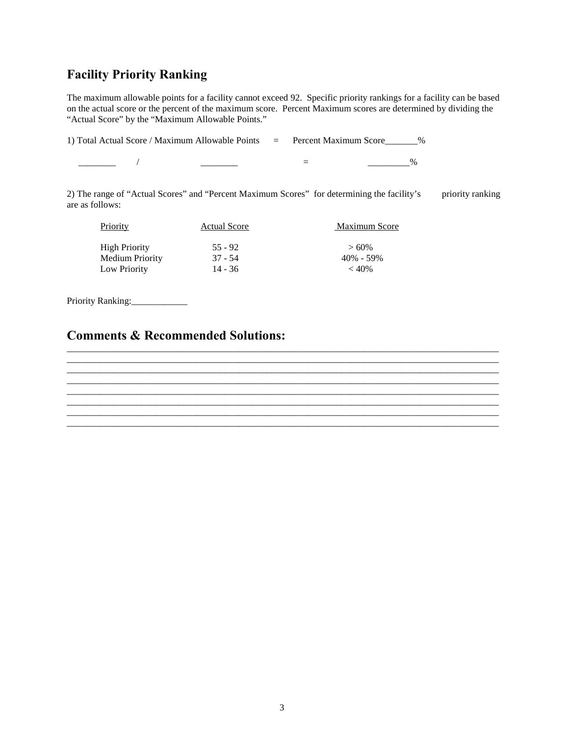## **Facility Priority Ranking**

The maximum allowable points for a facility cannot exceed 92. Specific priority rankings for a facility can be based on the actual score or the percent of the maximum score. Percent Maximum scores are determined by dividing the "Actual Score" by the "Maximum Allowable Points."

1) Total Actual Score / Maximum Allowable Points = Percent Maximum Score\_\_\_\_\_\_\_%

\_\_\_\_\_\_\_\_ / \_\_\_\_\_\_\_\_ = \_\_\_\_\_\_\_\_\_%

2) The range of "Actual Scores" and "Percent Maximum Scores" for determining the facility's priority ranking are as follows:

\_\_\_\_\_\_\_\_\_\_\_\_\_\_\_\_\_\_\_\_\_\_\_\_\_\_\_\_\_\_\_\_\_\_\_\_\_\_\_\_\_\_\_\_\_\_\_\_\_\_\_\_\_\_\_\_\_\_\_\_\_\_\_\_\_\_\_\_\_\_\_\_\_\_\_\_\_\_\_\_\_\_\_\_\_\_\_\_\_\_\_\_\_ \_\_\_\_\_\_\_\_\_\_\_\_\_\_\_\_\_\_\_\_\_\_\_\_\_\_\_\_\_\_\_\_\_\_\_\_\_\_\_\_\_\_\_\_\_\_\_\_\_\_\_\_\_\_\_\_\_\_\_\_\_\_\_\_\_\_\_\_\_\_\_\_\_\_\_\_\_\_\_\_\_\_\_\_\_\_\_\_\_\_\_\_\_ \_\_\_\_\_\_\_\_\_\_\_\_\_\_\_\_\_\_\_\_\_\_\_\_\_\_\_\_\_\_\_\_\_\_\_\_\_\_\_\_\_\_\_\_\_\_\_\_\_\_\_\_\_\_\_\_\_\_\_\_\_\_\_\_\_\_\_\_\_\_\_\_\_\_\_\_\_\_\_\_\_\_\_\_\_\_\_\_\_\_\_\_\_ \_\_\_\_\_\_\_\_\_\_\_\_\_\_\_\_\_\_\_\_\_\_\_\_\_\_\_\_\_\_\_\_\_\_\_\_\_\_\_\_\_\_\_\_\_\_\_\_\_\_\_\_\_\_\_\_\_\_\_\_\_\_\_\_\_\_\_\_\_\_\_\_\_\_\_\_\_\_\_\_\_\_\_\_\_\_\_\_\_\_\_\_\_

\_\_\_\_\_\_\_\_\_\_\_\_\_\_\_\_\_\_\_\_\_\_\_\_\_\_\_\_\_\_\_\_\_\_\_\_\_\_\_\_\_\_\_\_\_\_\_\_\_\_\_\_\_\_\_\_\_\_\_\_\_\_\_\_\_\_\_\_\_\_\_\_\_\_\_\_\_\_\_\_\_\_\_\_\_\_\_\_\_\_\_\_\_ \_\_\_\_\_\_\_\_\_\_\_\_\_\_\_\_\_\_\_\_\_\_\_\_\_\_\_\_\_\_\_\_\_\_\_\_\_\_\_\_\_\_\_\_\_\_\_\_\_\_\_\_\_\_\_\_\_\_\_\_\_\_\_\_\_\_\_\_\_\_\_\_\_\_\_\_\_\_\_\_\_\_\_\_\_\_\_\_\_\_\_\_\_ \_\_\_\_\_\_\_\_\_\_\_\_\_\_\_\_\_\_\_\_\_\_\_\_\_\_\_\_\_\_\_\_\_\_\_\_\_\_\_\_\_\_\_\_\_\_\_\_\_\_\_\_\_\_\_\_\_\_\_\_\_\_\_\_\_\_\_\_\_\_\_\_\_\_\_\_\_\_\_\_\_\_\_\_\_\_\_\_\_\_\_\_\_

| Priority             | <b>Actual Score</b> | <b>Maximum Score</b> |  |  |  |  |
|----------------------|---------------------|----------------------|--|--|--|--|
| <b>High Priority</b> | $55 - 92$           | $>60\%$              |  |  |  |  |
| Medium Priority      | $37 - 54$           | $40\% - 59\%$        |  |  |  |  |
| Low Priority         | 14 - 36             | $<$ 40%              |  |  |  |  |

Priority Ranking:\_\_\_\_\_\_\_\_\_\_\_\_\_

#### **Comments & Recommended Solutions:**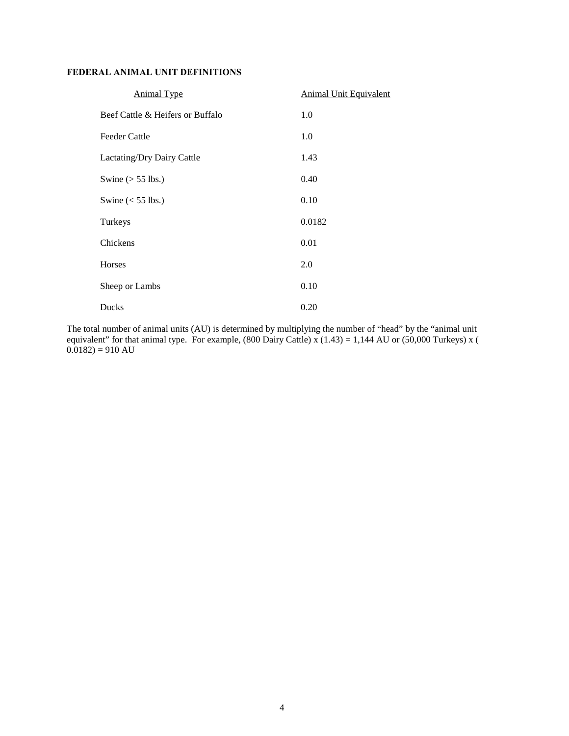#### **FEDERAL ANIMAL UNIT DEFINITIONS**

| <b>Animal Type</b>               | <b>Animal Unit Equivalent</b> |
|----------------------------------|-------------------------------|
| Beef Cattle & Heifers or Buffalo | 1.0                           |
| <b>Feeder Cattle</b>             | 1.0                           |
| Lactating/Dry Dairy Cattle       | 1.43                          |
| Swine $(> 55$ lbs.)              | 0.40                          |
| Swine $(< 55$ lbs.)              | 0.10                          |
| Turkeys                          | 0.0182                        |
| Chickens                         | 0.01                          |
| Horses                           | 2.0                           |
| Sheep or Lambs                   | 0.10                          |
| Ducks                            | 0.20                          |

The total number of animal units (AU) is determined by multiplying the number of "head" by the "animal unit equivalent" for that animal type. For example, (800 Dairy Cattle) x (1.43) = 1,144 AU or (50,000 Turkeys) x (  $(0.0182) = 910 \text{ AU}$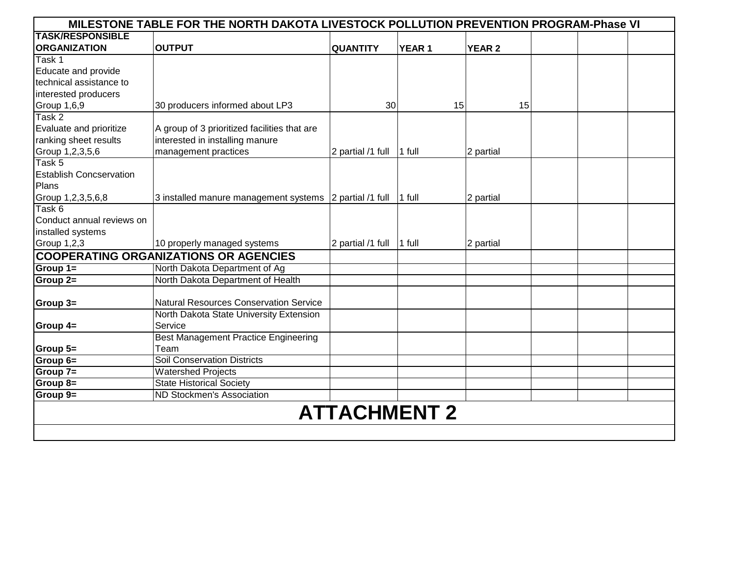|                                | MILESTONE TABLE FOR THE NORTH DAKOTA LIVESTOCK POLLUTION PREVENTION PROGRAM-Phase VI |                     |               |               |    |  |  |
|--------------------------------|--------------------------------------------------------------------------------------|---------------------|---------------|---------------|----|--|--|
| <b>TASK/RESPONSIBLE</b>        |                                                                                      |                     |               |               |    |  |  |
| <b>ORGANIZATION</b>            | <b>OUTPUT</b>                                                                        | <b>QUANTITY</b>     | <b>YEAR 1</b> | <b>YEAR 2</b> |    |  |  |
| Task 1                         |                                                                                      |                     |               |               |    |  |  |
| Educate and provide            |                                                                                      |                     |               |               |    |  |  |
| technical assistance to        |                                                                                      |                     |               |               |    |  |  |
| interested producers           |                                                                                      |                     |               |               |    |  |  |
| Group 1,6,9                    | 30 producers informed about LP3                                                      | 30                  |               | 15            | 15 |  |  |
| Task 2                         |                                                                                      |                     |               |               |    |  |  |
| Evaluate and prioritize        | A group of 3 prioritized facilities that are                                         |                     |               |               |    |  |  |
| ranking sheet results          | interested in installing manure                                                      |                     |               |               |    |  |  |
| Group 1,2,3,5,6                | management practices                                                                 | 2 partial /1 full   | 1 full        | 2 partial     |    |  |  |
| Task 5                         |                                                                                      |                     |               |               |    |  |  |
| <b>Establish Concservation</b> |                                                                                      |                     |               |               |    |  |  |
| Plans                          |                                                                                      |                     |               |               |    |  |  |
| Group 1,2,3,5,6,8              | 3 installed manure management systems                                                | 2 partial /1 full   | 1 full        | 2 partial     |    |  |  |
| Task 6                         |                                                                                      |                     |               |               |    |  |  |
| Conduct annual reviews on      |                                                                                      |                     |               |               |    |  |  |
| installed systems              |                                                                                      |                     |               |               |    |  |  |
| Group 1,2,3                    | 10 properly managed systems                                                          | 2 partial /1 full   | 1 full        | 2 partial     |    |  |  |
|                                | <b>COOPERATING ORGANIZATIONS OR AGENCIES</b>                                         |                     |               |               |    |  |  |
| Group 1=                       | North Dakota Department of Ag                                                        |                     |               |               |    |  |  |
| Group 2=                       | North Dakota Department of Health                                                    |                     |               |               |    |  |  |
|                                |                                                                                      |                     |               |               |    |  |  |
| Group 3=                       | <b>Natural Resources Conservation Service</b>                                        |                     |               |               |    |  |  |
|                                | North Dakota State University Extension                                              |                     |               |               |    |  |  |
| Group 4=                       | Service                                                                              |                     |               |               |    |  |  |
|                                | <b>Best Management Practice Engineering</b>                                          |                     |               |               |    |  |  |
| Group 5=                       | Team                                                                                 |                     |               |               |    |  |  |
| Group 6=                       | <b>Soil Conservation Districts</b>                                                   |                     |               |               |    |  |  |
| Group 7=                       | <b>Watershed Projects</b>                                                            |                     |               |               |    |  |  |
| <b>Group 8=</b>                | <b>State Historical Society</b>                                                      |                     |               |               |    |  |  |
| Group 9=                       | ND Stockmen's Association                                                            |                     |               |               |    |  |  |
|                                |                                                                                      | <b>ATTACHMENT 2</b> |               |               |    |  |  |
|                                |                                                                                      |                     |               |               |    |  |  |
|                                |                                                                                      |                     |               |               |    |  |  |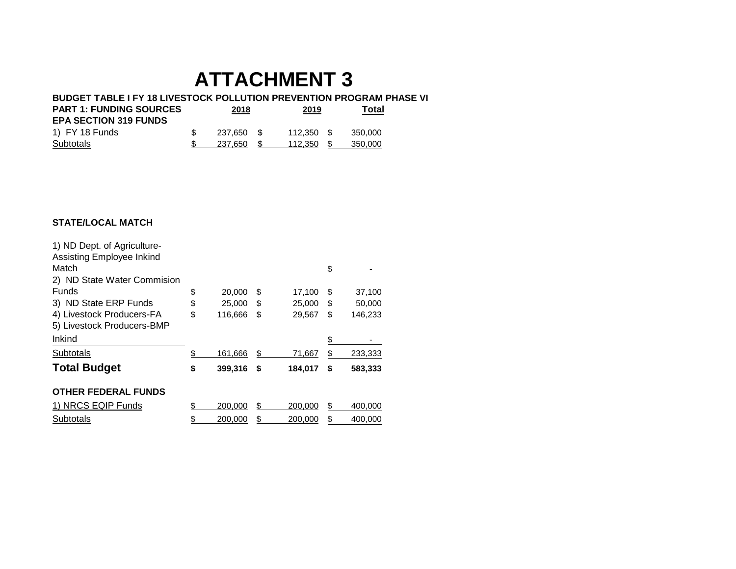#### **BUDGET TABLE I FY 18 LIVESTOCK POLLUTION PREVENTION PROGRAM PHASE VI**

| <b>PART 1: FUNDING SOURCES</b> | 2018       | 2019       | Total |         |  |
|--------------------------------|------------|------------|-------|---------|--|
| <b>EPA SECTION 319 FUNDS</b>   |            |            |       |         |  |
| 1) FY 18 Funds                 | 237.650 \$ | 112.350 \$ |       | 350.000 |  |
| Subtotals                      | 237.650    | 112.350    |       | 350.000 |  |

#### **STATE/LOCAL MATCH**

| 1) ND Dept. of Agriculture- |               |    |         |    |         |
|-----------------------------|---------------|----|---------|----|---------|
| Assisting Employee Inkind   |               |    |         |    |         |
| Match                       |               |    |         | \$ |         |
| 2) ND State Water Commision |               |    |         |    |         |
| <b>Funds</b>                | \$<br>20,000  | \$ | 17,100  | \$ | 37,100  |
| 3) ND State ERP Funds       | \$<br>25,000  | S  | 25,000  | \$ | 50,000  |
| 4) Livestock Producers-FA   | \$<br>116,666 | \$ | 29,567  | \$ | 146,233 |
| 5) Livestock Producers-BMP  |               |    |         |    |         |
| <b>Inkind</b>               |               |    |         | \$ |         |
| Subtotals                   | \$<br>161,666 | \$ | 71,667  | \$ | 233,333 |
| <b>Total Budget</b>         | \$<br>399,316 | \$ | 184,017 | S  | 583,333 |
| <b>OTHER FEDERAL FUNDS</b>  |               |    |         |    |         |
| 1) NRCS EQIP Funds          | \$<br>200,000 | \$ | 200,000 | \$ | 400,000 |
| Subtotals                   | \$<br>200,000 | \$ | 200,000 | \$ | 400.000 |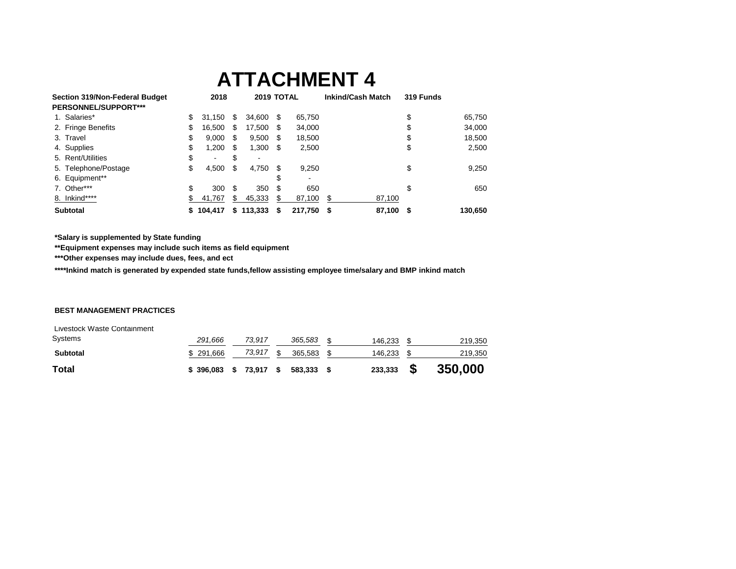| Section 319/Non-Federal Budget |    | 2018           |    | 2019 TOTAL |    |         | <b>Inkind/Cash Match</b> | 319 Funds |         |
|--------------------------------|----|----------------|----|------------|----|---------|--------------------------|-----------|---------|
| PERSONNEL/SUPPORT***           |    |                |    |            |    |         |                          |           |         |
| 1. Salaries*                   | \$ | 31.150         | S  | 34.600     | -S | 65,750  |                          | \$        | 65,750  |
| 2. Fringe Benefits             | \$ | 16,500         | \$ | 17,500     | -S | 34,000  |                          | \$        | 34,000  |
| 3. Travel                      | \$ | 9,000          | S  | $9,500$ \$ |    | 18,500  |                          | \$        | 18,500  |
| 4. Supplies                    | \$ | 1,200          | S  | $1,300$ \$ |    | 2,500   |                          | \$        | 2,500   |
| 5. Rent/Utilities              | \$ | $\blacksquare$ | \$ |            |    |         |                          |           |         |
| 5. Telephone/Postage           | \$ | 4,500          | S  | 4,750      | S  | 9,250   |                          | \$        | 9,250   |
| 6. Equipment**                 |    |                |    |            |    |         |                          |           |         |
| 7. Other***                    | \$ | 300            | S  | 350        |    | 650     |                          | \$        | 650     |
| 8. Inkind****                  | S. | 41,767         | S. | 45,333     |    | 87,100  | 87,100<br>S              |           |         |
| <b>Subtotal</b>                |    | \$104.417      | S  | 113,333    | S  | 217,750 | 87,100<br>- \$           | S         | 130,650 |

**\*Salary is supplemented by State funding** 

**\*\*Equipment expenses may include such items as field equipment**

**\*\*\*Other expenses may include dues, fees, and ect**

**\*\*\*\*Inkind match is generated by expended state funds,fellow assisting employee time/salary and BMP inkind match**

#### **BEST MANAGEMENT PRACTICES**

| Systems<br><b>Subtotal</b> | 291,666<br>\$ 291,666 | 73.917<br>73,917 | 365,583<br>365.583 | 146,233<br>146,233 |      | 219,350<br>219,350 |
|----------------------------|-----------------------|------------------|--------------------|--------------------|------|--------------------|
| <b>Total</b>               | \$396,083             | \$73,917         | 583.333            | 233,333            | - \$ | 350,000            |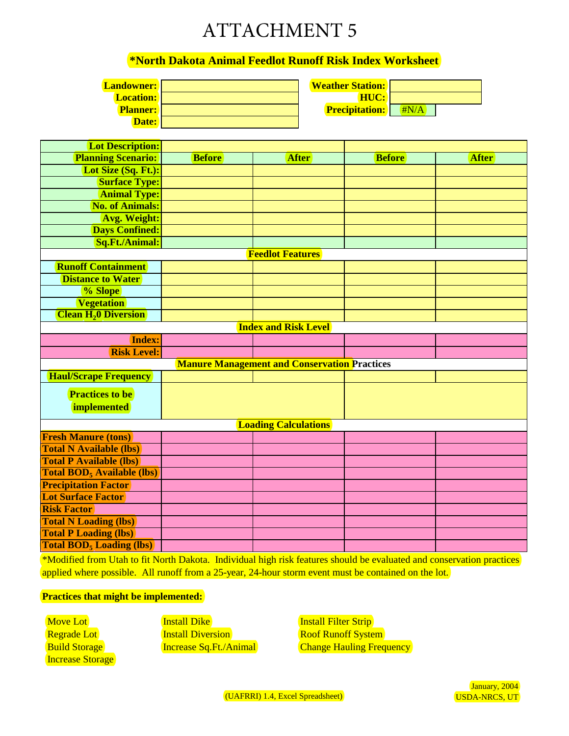### **\*North Dakota Animal Feedlot Runoff Risk Index Worksheet**

| <b>Landowner:</b> |  |
|-------------------|--|
| <b>Location:</b>  |  |
| <b>Planner:</b>   |  |
| Date:             |  |

**Planner:** #N/A **Precipitation: HUC: Weather Station:** 

| <b>Lot Description:</b>                             |               |                             |               |              |  |
|-----------------------------------------------------|---------------|-----------------------------|---------------|--------------|--|
| <b>Planning Scenario:</b>                           | <b>Before</b> | <b>After</b>                | <b>Before</b> | <b>After</b> |  |
| Lot Size (Sq. Ft.):                                 |               |                             |               |              |  |
| <b>Surface Type:</b>                                |               |                             |               |              |  |
| <b>Animal Type:</b>                                 |               |                             |               |              |  |
| <b>No. of Animals:</b>                              |               |                             |               |              |  |
| <b>Avg. Weight:</b>                                 |               |                             |               |              |  |
| <b>Days Confined:</b>                               |               |                             |               |              |  |
| Sq.Ft./Animal:                                      |               |                             |               |              |  |
| <b>Feedlot Features</b>                             |               |                             |               |              |  |
| <b>Runoff Containment</b>                           |               |                             |               |              |  |
| <b>Distance to Water</b>                            |               |                             |               |              |  |
| % Slope                                             |               |                             |               |              |  |
| <b>Vegetation</b>                                   |               |                             |               |              |  |
| <b>Clean H<sub>2</sub>0 Diversion</b>               |               |                             |               |              |  |
|                                                     |               | <b>Index and Risk Level</b> |               |              |  |
| Index:                                              |               |                             |               |              |  |
| <b>Risk Level:</b>                                  |               |                             |               |              |  |
| <b>Manure Management and Conservation Practices</b> |               |                             |               |              |  |
| <b>Haul/Scrape Frequency</b>                        |               |                             |               |              |  |
| <b>Practices to be</b>                              |               |                             |               |              |  |
| <i>implemented</i>                                  |               |                             |               |              |  |
|                                                     |               |                             |               |              |  |
| <b>Loading Calculations</b>                         |               |                             |               |              |  |
| <b>Fresh Manure (tons)</b>                          |               |                             |               |              |  |
| <b>Total N Available (lbs)</b>                      |               |                             |               |              |  |
| <b>Total P Available (lbs)</b>                      |               |                             |               |              |  |
| <b>Total BOD</b> <sub>5</sub> Available (lbs)       |               |                             |               |              |  |
| <b>Precipitation Factor</b>                         |               |                             |               |              |  |
| <b>Lot Surface Factor</b>                           |               |                             |               |              |  |
| <b>Risk Factor</b>                                  |               |                             |               |              |  |
| <b>Total N Loading (lbs)</b>                        |               |                             |               |              |  |
| <b>Total P Loading (lbs)</b>                        |               |                             |               |              |  |
| <b>Total BOD<sub>5</sub></b> Loading (lbs)          |               |                             |               |              |  |

\*Modified from Utah to fit North Dakota. Individual high risk features should be evaluated and conservation practices applied where possible. All runoff from a 25-year, 24-hour storm event must be contained on the lot.

#### **Practices that might be implemented:**

 Move Lot Regrade Lot **Build Storage** Increase Storage Install Dike **Install Diversion** Roof Runoff System

**Increase Sq.Ft./Animal Change Hauling Frequency Install Filter Strip**